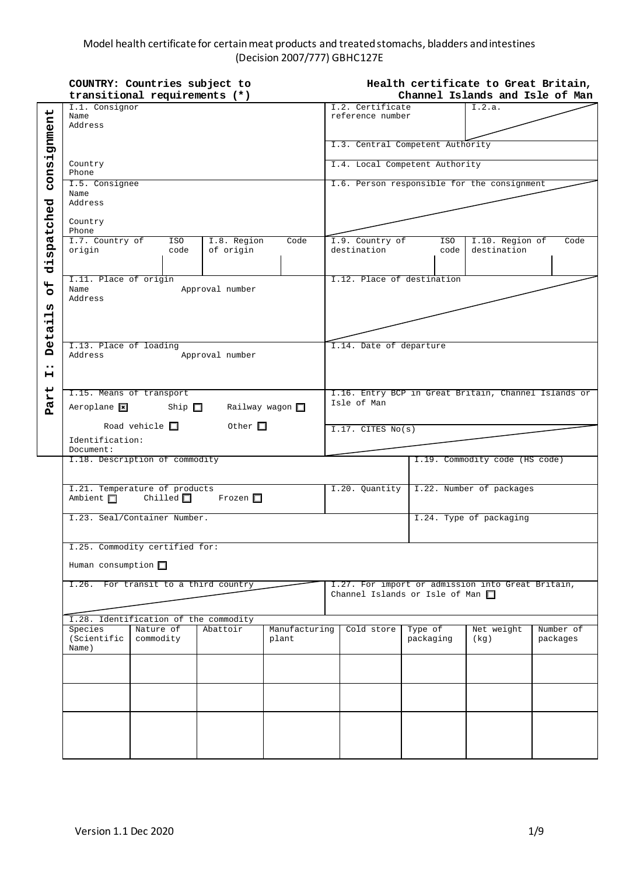## Model health certificate for certain meat products and treated stomachs, bladders and intestines (Decision 2007/777) GBHC127E

|                       | COUNTRY: Countries subject to                      |                        |                   |                 |                         |                                                                     | Health certificate to Great Britain,  |            |                                                   |           |          |
|-----------------------|----------------------------------------------------|------------------------|-------------------|-----------------|-------------------------|---------------------------------------------------------------------|---------------------------------------|------------|---------------------------------------------------|-----------|----------|
|                       | transitional requirements (*)                      |                        |                   |                 |                         | Channel Islands and Isle of Man                                     |                                       |            |                                                   |           |          |
|                       | I.1. Consignor<br>Name                             |                        |                   |                 |                         |                                                                     | I.2. Certificate<br>reference number  |            | I.2.a.                                            |           |          |
|                       | Address                                            |                        |                   |                 |                         |                                                                     |                                       |            |                                                   |           |          |
|                       |                                                    |                        |                   |                 |                         |                                                                     |                                       |            |                                                   |           |          |
| consignment           |                                                    |                        |                   |                 |                         |                                                                     | I.3. Central Competent Authority      |            |                                                   |           |          |
|                       | Country<br>Phone                                   |                        |                   |                 |                         |                                                                     | I.4. Local Competent Authority        |            |                                                   |           |          |
|                       |                                                    |                        |                   |                 |                         |                                                                     |                                       |            |                                                   |           |          |
|                       | I.5. Consignee                                     |                        |                   |                 |                         |                                                                     |                                       |            | I.6. Person responsible for the consignment       |           |          |
|                       | Name                                               |                        |                   |                 |                         |                                                                     |                                       |            |                                                   |           |          |
| dispatched            | Address                                            |                        |                   |                 |                         |                                                                     |                                       |            |                                                   |           |          |
|                       | Country                                            |                        |                   |                 |                         |                                                                     |                                       |            |                                                   |           |          |
|                       | Phone                                              |                        |                   |                 |                         |                                                                     |                                       |            |                                                   |           |          |
|                       | I.7. Country of                                    |                        | ISO <sup>1</sup>  | I.8. Region     | Code                    |                                                                     | I.9. Country of                       | ISO        | I.10. Region of                                   |           | Code     |
|                       | origin                                             |                        | code              | of origin       |                         |                                                                     | destination                           | code       | destination                                       |           |          |
|                       |                                                    |                        |                   |                 |                         |                                                                     |                                       |            |                                                   |           |          |
|                       | I.11. Place of origin                              |                        |                   |                 |                         |                                                                     | I.12. Place of destination            |            |                                                   |           |          |
| $\overline{5}$        | Name                                               |                        |                   | Approval number |                         |                                                                     |                                       |            |                                                   |           |          |
| w                     | Address                                            |                        |                   |                 |                         |                                                                     |                                       |            |                                                   |           |          |
| ᆏ                     |                                                    |                        |                   |                 |                         |                                                                     |                                       |            |                                                   |           |          |
| ᆏ<br><b>u</b>         |                                                    |                        |                   |                 |                         |                                                                     |                                       |            |                                                   |           |          |
|                       |                                                    |                        |                   |                 |                         |                                                                     |                                       |            |                                                   |           |          |
| Det.                  | I.13. Place of loading<br>Address                  |                        |                   |                 |                         |                                                                     | I.14. Date of departure               |            |                                                   |           |          |
|                       |                                                    |                        |                   | Approval number |                         |                                                                     |                                       |            |                                                   |           |          |
| $\bullet\bullet$<br>н |                                                    |                        |                   |                 |                         |                                                                     |                                       |            |                                                   |           |          |
|                       |                                                    |                        |                   |                 |                         |                                                                     |                                       |            |                                                   |           |          |
|                       | I.15. Means of transport                           |                        |                   |                 |                         | I.16. Entry BCP in Great Britain, Channel Islands or<br>Isle of Man |                                       |            |                                                   |           |          |
| Part                  | $Aeroplane$ $\boxed{\mathbf{x}}$                   |                        | Ship $\square$    |                 | Railway wagon $\square$ |                                                                     |                                       |            |                                                   |           |          |
|                       |                                                    | Road vehicle $\square$ |                   | Other $\square$ |                         |                                                                     |                                       |            |                                                   |           |          |
|                       |                                                    |                        |                   |                 |                         |                                                                     | $I.17.$ CITES $No(s)$                 |            |                                                   |           |          |
|                       | Identification:<br>Document:                       |                        |                   |                 |                         |                                                                     |                                       |            |                                                   |           |          |
|                       | I.18. Description of commodity                     |                        |                   |                 |                         |                                                                     |                                       |            | I.19. Commodity code (HS code)                    |           |          |
|                       |                                                    |                        |                   |                 |                         |                                                                     |                                       |            |                                                   |           |          |
|                       |                                                    |                        |                   |                 |                         |                                                                     |                                       |            |                                                   |           |          |
|                       | I.21. Temperature of products<br>Ambient $\square$ |                        | Chilled $\square$ | Frozen $\Box$   |                         |                                                                     | I.20. Quantity                        |            | I.22. Number of packages                          |           |          |
|                       |                                                    |                        |                   |                 |                         |                                                                     |                                       |            |                                                   |           |          |
|                       | I.23. Seal/Container Number.                       |                        |                   |                 |                         |                                                                     |                                       |            | I.24. Type of packaging                           |           |          |
|                       |                                                    |                        |                   |                 |                         |                                                                     |                                       |            |                                                   |           |          |
|                       |                                                    |                        |                   |                 |                         |                                                                     |                                       |            |                                                   |           |          |
|                       | I.25. Commodity certified for:                     |                        |                   |                 |                         |                                                                     |                                       |            |                                                   |           |          |
|                       | Human consumption $\Box$                           |                        |                   |                 |                         |                                                                     |                                       |            |                                                   |           |          |
|                       |                                                    |                        |                   |                 |                         |                                                                     |                                       |            |                                                   |           |          |
|                       | I.26. For transit to a third country               |                        |                   |                 |                         |                                                                     | Channel Islands or Isle of Man $\Box$ |            | I.27. For import or admission into Great Britain, |           |          |
|                       |                                                    |                        |                   |                 |                         |                                                                     |                                       |            |                                                   |           |          |
|                       | I.28. Identification of the commodity              |                        |                   |                 |                         |                                                                     |                                       |            |                                                   |           |          |
|                       | Nature of<br>Species<br>Abattoir<br>Manufacturing  |                        |                   |                 |                         | Cold store                                                          | Type of                               | Net weight |                                                   | Number of |          |
|                       | (Scientific                                        | commodity              |                   |                 | plant                   |                                                                     |                                       | packaging  | (kq)                                              |           | packages |
|                       | Name)                                              |                        |                   |                 |                         |                                                                     |                                       |            |                                                   |           |          |
|                       |                                                    |                        |                   |                 |                         |                                                                     |                                       |            |                                                   |           |          |
|                       |                                                    |                        |                   |                 |                         |                                                                     |                                       |            |                                                   |           |          |
|                       |                                                    |                        |                   |                 |                         |                                                                     |                                       |            |                                                   |           |          |
|                       |                                                    |                        |                   |                 |                         |                                                                     |                                       |            |                                                   |           |          |
|                       |                                                    |                        |                   |                 |                         |                                                                     |                                       |            |                                                   |           |          |
|                       |                                                    |                        |                   |                 |                         |                                                                     |                                       |            |                                                   |           |          |
|                       |                                                    |                        |                   |                 |                         |                                                                     |                                       |            |                                                   |           |          |
|                       |                                                    |                        |                   |                 |                         |                                                                     |                                       |            |                                                   |           |          |
|                       |                                                    |                        |                   |                 |                         |                                                                     |                                       |            |                                                   |           |          |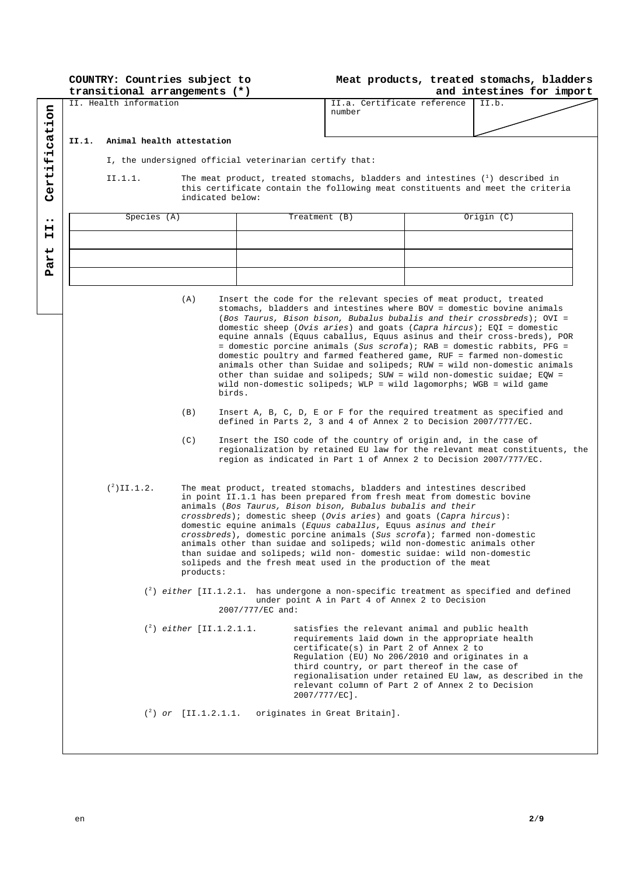| COUNTRY: Countries subject to |  |  |  |
|-------------------------------|--|--|--|
| transitional arrangements (*) |  |  |  |

# **Meat products, treated stomachs, bladders**

|                       | transitional arrangements (*) |                                                        |                            |                                                                                                                                                                                                                                                                                                                                                                                                                                                                                                                                                                                                                                                           |                                                | and intestines for import                                                                                                                                                                                                                                                                                                                                                                                                                                                                                                                                                                                                                                                                                                                                |  |            |  |
|-----------------------|-------------------------------|--------------------------------------------------------|----------------------------|-----------------------------------------------------------------------------------------------------------------------------------------------------------------------------------------------------------------------------------------------------------------------------------------------------------------------------------------------------------------------------------------------------------------------------------------------------------------------------------------------------------------------------------------------------------------------------------------------------------------------------------------------------------|------------------------------------------------|----------------------------------------------------------------------------------------------------------------------------------------------------------------------------------------------------------------------------------------------------------------------------------------------------------------------------------------------------------------------------------------------------------------------------------------------------------------------------------------------------------------------------------------------------------------------------------------------------------------------------------------------------------------------------------------------------------------------------------------------------------|--|------------|--|
|                       | II. Health information        |                                                        |                            |                                                                                                                                                                                                                                                                                                                                                                                                                                                                                                                                                                                                                                                           | II.a. Certificate reference<br>II.b.<br>number |                                                                                                                                                                                                                                                                                                                                                                                                                                                                                                                                                                                                                                                                                                                                                          |  |            |  |
|                       |                               |                                                        |                            |                                                                                                                                                                                                                                                                                                                                                                                                                                                                                                                                                                                                                                                           |                                                |                                                                                                                                                                                                                                                                                                                                                                                                                                                                                                                                                                                                                                                                                                                                                          |  |            |  |
| cation                | II.1.                         | Animal health attestation                              |                            |                                                                                                                                                                                                                                                                                                                                                                                                                                                                                                                                                                                                                                                           |                                                |                                                                                                                                                                                                                                                                                                                                                                                                                                                                                                                                                                                                                                                                                                                                                          |  |            |  |
| ٠Ĥ                    |                               |                                                        |                            |                                                                                                                                                                                                                                                                                                                                                                                                                                                                                                                                                                                                                                                           |                                                |                                                                                                                                                                                                                                                                                                                                                                                                                                                                                                                                                                                                                                                                                                                                                          |  |            |  |
| $\mathbf{H}$          |                               | I, the undersigned official veterinarian certify that: |                            |                                                                                                                                                                                                                                                                                                                                                                                                                                                                                                                                                                                                                                                           |                                                |                                                                                                                                                                                                                                                                                                                                                                                                                                                                                                                                                                                                                                                                                                                                                          |  |            |  |
|                       |                               | II.1.1.                                                |                            |                                                                                                                                                                                                                                                                                                                                                                                                                                                                                                                                                                                                                                                           |                                                | The meat product, treated stomachs, bladders and intestines $(1)$ described in                                                                                                                                                                                                                                                                                                                                                                                                                                                                                                                                                                                                                                                                           |  |            |  |
| Certi                 |                               |                                                        |                            | indicated below:                                                                                                                                                                                                                                                                                                                                                                                                                                                                                                                                                                                                                                          |                                                | this certificate contain the following meat constituents and meet the criteria                                                                                                                                                                                                                                                                                                                                                                                                                                                                                                                                                                                                                                                                           |  |            |  |
|                       |                               | Species (A)                                            |                            |                                                                                                                                                                                                                                                                                                                                                                                                                                                                                                                                                                                                                                                           | Treatment (B)                                  |                                                                                                                                                                                                                                                                                                                                                                                                                                                                                                                                                                                                                                                                                                                                                          |  | Origin (C) |  |
| $\bullet\bullet$<br>н |                               |                                                        |                            |                                                                                                                                                                                                                                                                                                                                                                                                                                                                                                                                                                                                                                                           |                                                |                                                                                                                                                                                                                                                                                                                                                                                                                                                                                                                                                                                                                                                                                                                                                          |  |            |  |
| н                     |                               |                                                        |                            |                                                                                                                                                                                                                                                                                                                                                                                                                                                                                                                                                                                                                                                           |                                                |                                                                                                                                                                                                                                                                                                                                                                                                                                                                                                                                                                                                                                                                                                                                                          |  |            |  |
| art                   |                               |                                                        |                            |                                                                                                                                                                                                                                                                                                                                                                                                                                                                                                                                                                                                                                                           |                                                |                                                                                                                                                                                                                                                                                                                                                                                                                                                                                                                                                                                                                                                                                                                                                          |  |            |  |
| д                     |                               |                                                        |                            |                                                                                                                                                                                                                                                                                                                                                                                                                                                                                                                                                                                                                                                           |                                                |                                                                                                                                                                                                                                                                                                                                                                                                                                                                                                                                                                                                                                                                                                                                                          |  |            |  |
|                       |                               |                                                        |                            |                                                                                                                                                                                                                                                                                                                                                                                                                                                                                                                                                                                                                                                           |                                                |                                                                                                                                                                                                                                                                                                                                                                                                                                                                                                                                                                                                                                                                                                                                                          |  |            |  |
|                       |                               |                                                        | (A)                        | birds.                                                                                                                                                                                                                                                                                                                                                                                                                                                                                                                                                                                                                                                    |                                                | Insert the code for the relevant species of meat product, treated<br>stomachs, bladders and intestines where BOV = domestic bovine animals<br>(Bos Taurus, Bison bison, Bubalus bubalis and their crossbreds); OVI =<br>domestic sheep (Ovis aries) and goats (Capra hircus); $EQI =$ domestic<br>equine annals (Equus caballus, Equus asinus and their cross-breds), POR<br>= domestic porcine animals (Sus scrofa); RAB = domestic rabbits, PFG =<br>domestic poultry and farmed feathered game, RUF = farmed non-domestic<br>animals other than Suidae and solipeds; RUW = wild non-domestic animals<br>other than suidae and solipeds; SUW = wild non-domestic suidae; $EQW =$<br>wild non-domestic solipeds; WLP = wild lagomorphs; WGB = wild game |  |            |  |
|                       |                               |                                                        | (B)                        |                                                                                                                                                                                                                                                                                                                                                                                                                                                                                                                                                                                                                                                           |                                                | Insert A, B, C, D, E or F for the required treatment as specified and<br>defined in Parts 2, 3 and 4 of Annex 2 to Decision 2007/777/EC.                                                                                                                                                                                                                                                                                                                                                                                                                                                                                                                                                                                                                 |  |            |  |
|                       |                               |                                                        | (C)                        |                                                                                                                                                                                                                                                                                                                                                                                                                                                                                                                                                                                                                                                           |                                                | Insert the ISO code of the country of origin and, in the case of<br>regionalization by retained EU law for the relevant meat constituents, the<br>region as indicated in Part 1 of Annex 2 to Decision 2007/777/EC.                                                                                                                                                                                                                                                                                                                                                                                                                                                                                                                                      |  |            |  |
|                       |                               | $({}^{2})$ II.1.2.                                     | products:                  | The meat product, treated stomachs, bladders and intestines described<br>in point II.1.1 has been prepared from fresh meat from domestic bovine<br>animals (Bos Taurus, Bison bison, Bubalus bubalis and their<br>crossbreds); domestic sheep (Ovis aries) and goats (Capra hircus):<br>domestic equine animals (Equus caballus, Equus asinus and their<br>crossbreds), domestic porcine animals (Sus scrofa); farmed non-domestic<br>animals other than suidae and solipeds; wild non-domestic animals other<br>than suidae and solipeds; wild non- domestic suidae: wild non-domestic<br>solipeds and the fresh meat used in the production of the meat |                                                |                                                                                                                                                                                                                                                                                                                                                                                                                                                                                                                                                                                                                                                                                                                                                          |  |            |  |
|                       |                               |                                                        |                            | 2007/777/EC and:                                                                                                                                                                                                                                                                                                                                                                                                                                                                                                                                                                                                                                          |                                                | $\binom{2}{1}$ either [II.1.2.1. has undergone a non-specific treatment as specified and defined<br>under point A in Part 4 of Annex 2 to Decision                                                                                                                                                                                                                                                                                                                                                                                                                                                                                                                                                                                                       |  |            |  |
|                       |                               |                                                        |                            | $({}^{2})$ either [II.1.2.1.1.                                                                                                                                                                                                                                                                                                                                                                                                                                                                                                                                                                                                                            |                                                | satisfies the relevant animal and public health<br>requirements laid down in the appropriate health<br>certificate(s) in Part 2 of Annex 2 to<br>Regulation (EU) No 206/2010 and originates in a<br>third country, or part thereof in the case of<br>regionalisation under retained EU law, as described in the<br>relevant column of Part 2 of Annex 2 to Decision<br>$2007/777/EC$ ].                                                                                                                                                                                                                                                                                                                                                                  |  |            |  |
|                       |                               |                                                        | $({}^{2})$ or [II.1.2.1.1. |                                                                                                                                                                                                                                                                                                                                                                                                                                                                                                                                                                                                                                                           |                                                | originates in Great Britain].                                                                                                                                                                                                                                                                                                                                                                                                                                                                                                                                                                                                                                                                                                                            |  |            |  |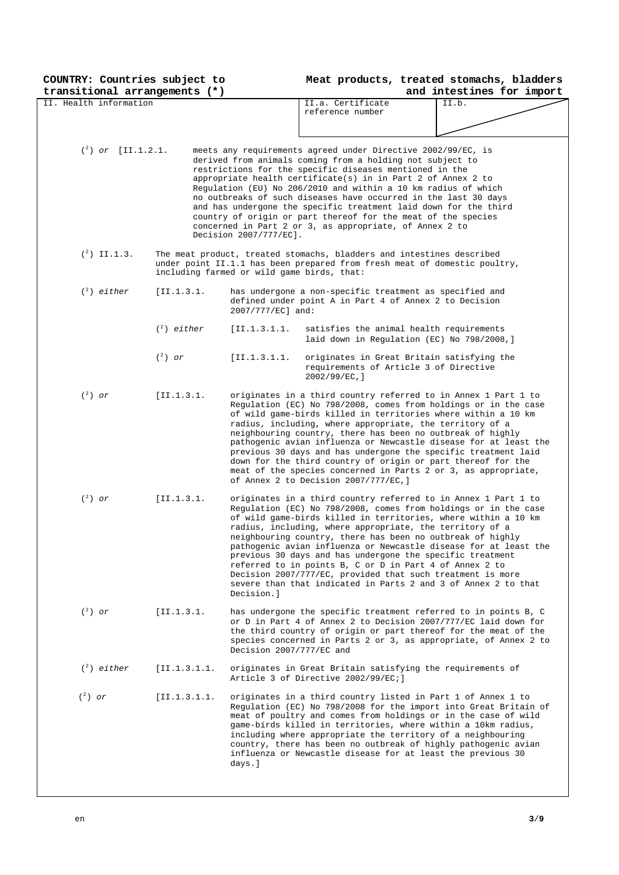| COUNTRY: Countries subject to                           |                                            |                                                                                                                                   | Meat products, treated stomachs, bladders                                                                                          |
|---------------------------------------------------------|--------------------------------------------|-----------------------------------------------------------------------------------------------------------------------------------|------------------------------------------------------------------------------------------------------------------------------------|
| transitional arrangements (*)<br>II. Health information |                                            | II.a. Certificate                                                                                                                 | and intestines for import                                                                                                          |
|                                                         |                                            | reference number                                                                                                                  | II.b.                                                                                                                              |
|                                                         |                                            |                                                                                                                                   |                                                                                                                                    |
|                                                         |                                            |                                                                                                                                   |                                                                                                                                    |
|                                                         |                                            |                                                                                                                                   |                                                                                                                                    |
| $({}^{2})$ or [II.1.2.1.]                               |                                            | meets any requirements agreed under Directive 2002/99/EC, is                                                                      |                                                                                                                                    |
|                                                         |                                            | derived from animals coming from a holding not subject to<br>restrictions for the specific diseases mentioned in the              |                                                                                                                                    |
|                                                         |                                            | appropriate health certificate(s) in in Part 2 of Annex 2 to                                                                      |                                                                                                                                    |
|                                                         |                                            | Regulation (EU) No 206/2010 and within a 10 km radius of which                                                                    |                                                                                                                                    |
|                                                         |                                            | no outbreaks of such diseases have occurred in the last 30 days                                                                   |                                                                                                                                    |
|                                                         |                                            | and has undergone the specific treatment laid down for the third<br>country of origin or part thereof for the meat of the species |                                                                                                                                    |
|                                                         |                                            | concerned in Part 2 or 3, as appropriate, of Annex 2 to                                                                           |                                                                                                                                    |
|                                                         | Decision 2007/777/EC].                     |                                                                                                                                   |                                                                                                                                    |
| $({}^{2})$ II.1.3.                                      |                                            | The meat product, treated stomachs, bladders and intestines described                                                             |                                                                                                                                    |
|                                                         |                                            | under point II.1.1 has been prepared from fresh meat of domestic poultry,                                                         |                                                                                                                                    |
|                                                         | including farmed or wild game birds, that: |                                                                                                                                   |                                                                                                                                    |
|                                                         |                                            |                                                                                                                                   |                                                                                                                                    |
| $(^2)$ either                                           | [II.1.3.1.                                 | has undergone a non-specific treatment as specified and<br>defined under point A in Part 4 of Annex 2 to Decision                 |                                                                                                                                    |
|                                                         | 2007/777/EC] and:                          |                                                                                                                                   |                                                                                                                                    |
|                                                         |                                            |                                                                                                                                   |                                                                                                                                    |
|                                                         | $(^2)$ either<br>[I1.1.3.1.1.              | satisfies the animal health requirements                                                                                          |                                                                                                                                    |
|                                                         |                                            | laid down in Regulation (EC) No 798/2008, ]                                                                                       |                                                                                                                                    |
| $(^2)$ or                                               | [I1.1.3.1.1]                               | originates in Great Britain satisfying the                                                                                        |                                                                                                                                    |
|                                                         |                                            | requirements of Article 3 of Directive                                                                                            |                                                                                                                                    |
|                                                         |                                            | $2002/99/EC,$ ]                                                                                                                   |                                                                                                                                    |
| $(^2)$ or                                               | [II.1.3.1.                                 |                                                                                                                                   | originates in a third country referred to in Annex 1 Part 1 to                                                                     |
|                                                         |                                            |                                                                                                                                   | Regulation (EC) No 798/2008, comes from holdings or in the case                                                                    |
|                                                         |                                            | of wild game-birds killed in territories where within a 10 km<br>radius, including, where appropriate, the territory of a         |                                                                                                                                    |
|                                                         |                                            | neighbouring country, there has been no outbreak of highly                                                                        |                                                                                                                                    |
|                                                         |                                            |                                                                                                                                   | pathogenic avian influenza or Newcastle disease for at least the                                                                   |
|                                                         |                                            |                                                                                                                                   | previous 30 days and has undergone the specific treatment laid                                                                     |
|                                                         |                                            | down for the third country of origin or part thereof for the                                                                      | meat of the species concerned in Parts 2 or 3, as appropriate,                                                                     |
|                                                         |                                            | of Annex 2 to Decision 2007/777/EC, ]                                                                                             |                                                                                                                                    |
| $(^2)$ or                                               |                                            |                                                                                                                                   |                                                                                                                                    |
|                                                         | [II.1.3.1.                                 |                                                                                                                                   | originates in a third country referred to in Annex 1 Part 1 to<br>Regulation (EC) No 798/2008, comes from holdings or in the case  |
|                                                         |                                            |                                                                                                                                   | of wild game-birds killed in territories, where within a 10 km                                                                     |
|                                                         |                                            | radius, including, where appropriate, the territory of a                                                                          |                                                                                                                                    |
|                                                         |                                            | neighbouring country, there has been no outbreak of highly                                                                        |                                                                                                                                    |
|                                                         |                                            | previous 30 days and has undergone the specific treatment                                                                         | pathogenic avian influenza or Newcastle disease for at least the                                                                   |
|                                                         |                                            | referred to in points B, C or D in Part 4 of Annex 2 to                                                                           |                                                                                                                                    |
|                                                         |                                            | Decision 2007/777/EC, provided that such treatment is more                                                                        |                                                                                                                                    |
|                                                         | Decision.l                                 |                                                                                                                                   | severe than that indicated in Parts 2 and 3 of Annex 2 to that                                                                     |
|                                                         |                                            |                                                                                                                                   |                                                                                                                                    |
| $(^2)$ or                                               | [II.1.3.1.                                 |                                                                                                                                   | has undergone the specific treatment referred to in points B, C                                                                    |
|                                                         |                                            |                                                                                                                                   | or D in Part 4 of Annex 2 to Decision 2007/777/EC laid down for<br>the third country of origin or part thereof for the meat of the |
|                                                         |                                            |                                                                                                                                   | species concerned in Parts 2 or 3, as appropriate, of Annex 2 to                                                                   |
|                                                         | Decision 2007/777/EC and                   |                                                                                                                                   |                                                                                                                                    |
| $(^2)$ either                                           | [I1.1.3.1.1]                               |                                                                                                                                   |                                                                                                                                    |
|                                                         |                                            | originates in Great Britain satisfying the requirements of<br>Article 3 of Directive 2002/99/EC;]                                 |                                                                                                                                    |
|                                                         |                                            |                                                                                                                                   |                                                                                                                                    |
| $(^2)$ or                                               | [I1.1.3.1.1.                               | originates in a third country listed in Part 1 of Annex 1 to                                                                      |                                                                                                                                    |
|                                                         |                                            |                                                                                                                                   | Regulation (EC) No 798/2008 for the import into Great Britain of<br>meat of poultry and comes from holdings or in the case of wild |
|                                                         |                                            | game-birds killed in territories, where within a 10km radius,                                                                     |                                                                                                                                    |
|                                                         |                                            | including where appropriate the territory of a neighbouring                                                                       |                                                                                                                                    |
|                                                         |                                            |                                                                                                                                   | country, there has been no outbreak of highly pathogenic avian                                                                     |
|                                                         | days.]                                     | influenza or Newcastle disease for at least the previous 30                                                                       |                                                                                                                                    |
|                                                         |                                            |                                                                                                                                   |                                                                                                                                    |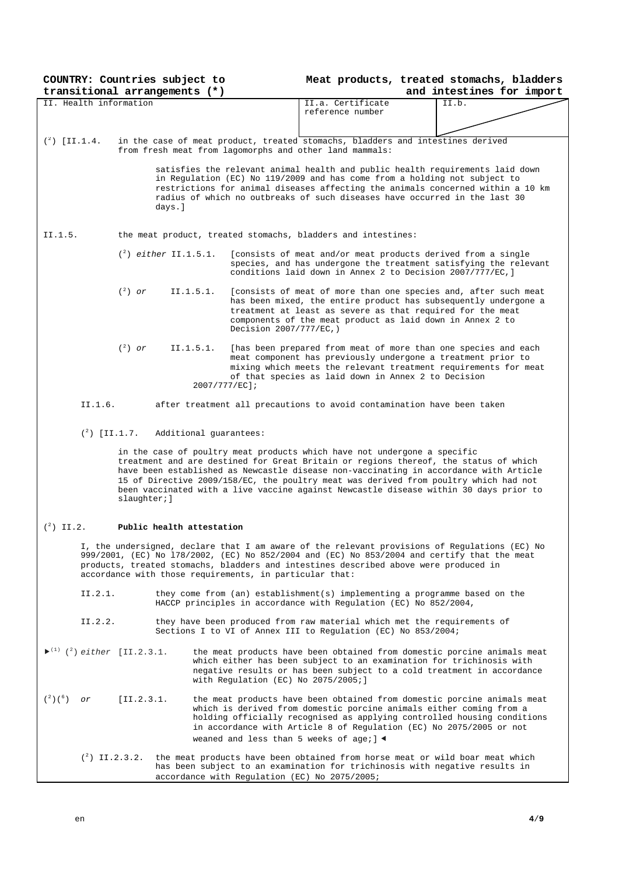| COUNTRY: Countries subject to<br>transitional arrangements (*)          |                           |                                                                                                                                                 | Meat products, treated stomachs, bladders<br>and intestines for import |                                                                                                                                                                                                                                                                                                                                                                |  |  |
|-------------------------------------------------------------------------|---------------------------|-------------------------------------------------------------------------------------------------------------------------------------------------|------------------------------------------------------------------------|----------------------------------------------------------------------------------------------------------------------------------------------------------------------------------------------------------------------------------------------------------------------------------------------------------------------------------------------------------------|--|--|
| II. Health information                                                  |                           |                                                                                                                                                 | II.a. Certificate                                                      | II.b.                                                                                                                                                                                                                                                                                                                                                          |  |  |
|                                                                         |                           |                                                                                                                                                 | reference number                                                       |                                                                                                                                                                                                                                                                                                                                                                |  |  |
|                                                                         |                           |                                                                                                                                                 |                                                                        |                                                                                                                                                                                                                                                                                                                                                                |  |  |
| $({}^{2})$ [II.1.4.                                                     |                           | from fresh meat from lagomorphs and other land mammals:                                                                                         |                                                                        | in the case of meat product, treated stomachs, bladders and intestines derived                                                                                                                                                                                                                                                                                 |  |  |
|                                                                         | days.]                    |                                                                                                                                                 |                                                                        | satisfies the relevant animal health and public health requirements laid down<br>in Regulation (EC) No 119/2009 and has come from a holding not subject to<br>restrictions for animal diseases affecting the animals concerned within a 10 km<br>radius of which no outbreaks of such diseases have occurred in the last 30                                    |  |  |
| II.1.5.                                                                 |                           | the meat product, treated stomachs, bladders and intestines:                                                                                    |                                                                        |                                                                                                                                                                                                                                                                                                                                                                |  |  |
|                                                                         | $(2)$ either II.1.5.1.    |                                                                                                                                                 |                                                                        | [consists of meat and/or meat products derived from a single<br>species, and has undergone the treatment satisfying the relevant<br>conditions laid down in Annex 2 to Decision 2007/777/EC, ]                                                                                                                                                                 |  |  |
|                                                                         | $(^2)$ or                 | II.1.5.1.<br>Decision 2007/777/EC, )                                                                                                            |                                                                        | [consists of meat of more than one species and, after such meat<br>has been mixed, the entire product has subsequently undergone a<br>treatment at least as severe as that required for the meat<br>components of the meat product as laid down in Annex 2 to                                                                                                  |  |  |
|                                                                         | $(^2)$ or                 | II.1.5.1.<br>2007/777/EC];                                                                                                                      | of that species as laid down in Annex 2 to Decision                    | [has been prepared from meat of more than one species and each<br>meat component has previously undergone a treatment prior to<br>mixing which meets the relevant treatment requirements for meat                                                                                                                                                              |  |  |
| II.1.6.                                                                 |                           |                                                                                                                                                 |                                                                        | after treatment all precautions to avoid contamination have been taken                                                                                                                                                                                                                                                                                         |  |  |
|                                                                         |                           |                                                                                                                                                 |                                                                        |                                                                                                                                                                                                                                                                                                                                                                |  |  |
| $({}^{2})$ [II.1.7.                                                     |                           | Additional quarantees:                                                                                                                          |                                                                        |                                                                                                                                                                                                                                                                                                                                                                |  |  |
|                                                                         | slaughter; ]              | in the case of poultry meat products which have not undergone a specific                                                                        |                                                                        | treatment and are destined for Great Britain or regions thereof, the status of which<br>have been established as Newcastle disease non-vaccinating in accordance with Article<br>15 of Directive 2009/158/EC, the poultry meat was derived from poultry which had not<br>been vaccinated with a live vaccine against Newcastle disease within 30 days prior to |  |  |
| $({}^{2})$ II.2.                                                        | Public health attestation |                                                                                                                                                 |                                                                        |                                                                                                                                                                                                                                                                                                                                                                |  |  |
|                                                                         |                           | products, treated stomachs, bladders and intestines described above were produced in<br>accordance with those requirements, in particular that: |                                                                        | I, the undersigned, declare that I am aware of the relevant provisions of Regulations (EC) No<br>999/2001, (EC) No 178/2002, (EC) No 852/2004 and (EC) No 853/2004 and certify that the meat                                                                                                                                                                   |  |  |
| II.2.1.                                                                 |                           | HACCP principles in accordance with Regulation (EC) No 852/2004,                                                                                |                                                                        | they come from (an) establishment(s) implementing a programme based on the                                                                                                                                                                                                                                                                                     |  |  |
| II.2.2.                                                                 |                           | Sections I to VI of Annex III to Regulation (EC) No 853/2004;                                                                                   |                                                                        | they have been produced from raw material which met the requirements of                                                                                                                                                                                                                                                                                        |  |  |
| $\blacktriangleright$ <sup>(1)</sup> ( <sup>2</sup> ) either [II.2.3.1. |                           | with Regulation (EC) No 2075/2005;]                                                                                                             |                                                                        | the meat products have been obtained from domestic porcine animals meat<br>which either has been subject to an examination for trichinosis with<br>negative results or has been subject to a cold treatment in accordance                                                                                                                                      |  |  |
| $({}^{2})({}^{6})$<br>or                                                | [II.2.3.1]                | weaned and less than 5 weeks of age; $\blacktriangleleft$                                                                                       |                                                                        | the meat products have been obtained from domestic porcine animals meat<br>which is derived from domestic porcine animals either coming from a<br>holding officially recognised as applying controlled housing conditions<br>in accordance with Article 8 of Regulation (EC) No 2075/2005 or not                                                               |  |  |
| $({}^{2})$ II.2.3.2.                                                    |                           | accordance with Regulation (EC) No 2075/2005;                                                                                                   |                                                                        | the meat products have been obtained from horse meat or wild boar meat which<br>has been subject to an examination for trichinosis with negative results in                                                                                                                                                                                                    |  |  |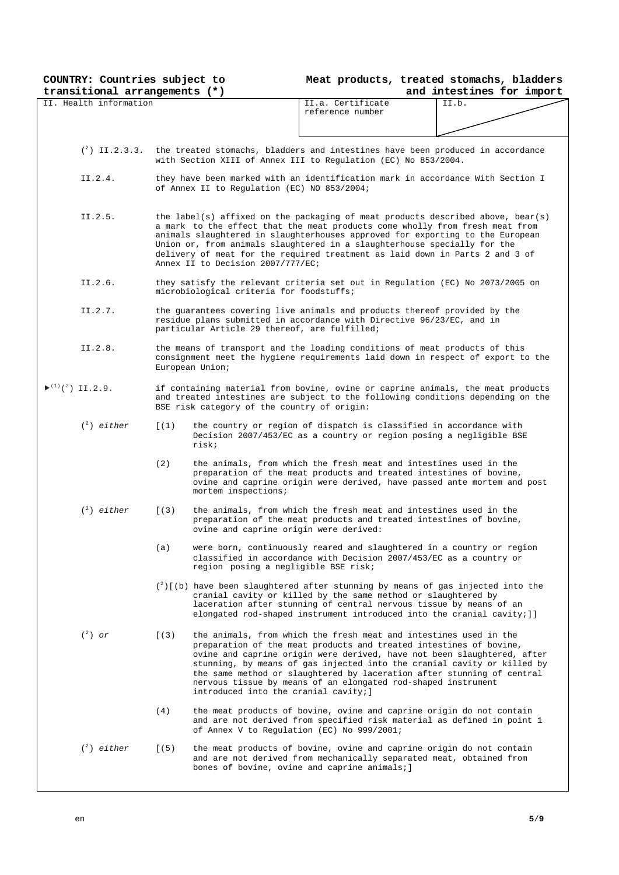**COUNTRY: Countries subject to** 

## **Meat products, treated stomachs, bladders**

| transitional arrangements (*)                                 |                                               | and intestines for import                                                                                                                                                                                                                                                                                                                                                                                                                                                         |
|---------------------------------------------------------------|-----------------------------------------------|-----------------------------------------------------------------------------------------------------------------------------------------------------------------------------------------------------------------------------------------------------------------------------------------------------------------------------------------------------------------------------------------------------------------------------------------------------------------------------------|
| II. Health information                                        |                                               | II.a. Certificate<br>II.b.<br>reference number                                                                                                                                                                                                                                                                                                                                                                                                                                    |
|                                                               |                                               | $\binom{2}{1}$ II.2.3.3. the treated stomachs, bladders and intestines have been produced in accordance<br>with Section XIII of Annex III to Regulation (EC) No 853/2004.                                                                                                                                                                                                                                                                                                         |
| II.2.4.                                                       | of Annex II to Regulation (EC) NO 853/2004;   | they have been marked with an identification mark in accordance With Section I                                                                                                                                                                                                                                                                                                                                                                                                    |
| II.2.5.                                                       | Annex II to Decision 2007/777/EC;             | the label(s) affixed on the packaging of meat products described above, bear(s)<br>a mark to the effect that the meat products come wholly from fresh meat from<br>animals slaughtered in slaughterhouses approved for exporting to the European<br>Union or, from animals slaughtered in a slaughterhouse specially for the<br>delivery of meat for the required treatment as laid down in Parts 2 and 3 of                                                                      |
| II.2.6.                                                       | microbiological criteria for foodstuffs;      | they satisfy the relevant criteria set out in Regulation (EC) No 2073/2005 on                                                                                                                                                                                                                                                                                                                                                                                                     |
| II.2.7.                                                       | particular Article 29 thereof, are fulfilled; | the quarantees covering live animals and products thereof provided by the<br>residue plans submitted in accordance with Directive 96/23/EC, and in                                                                                                                                                                                                                                                                                                                                |
| II.2.8.                                                       | European Union;                               | the means of transport and the loading conditions of meat products of this<br>consignment meet the hygiene requirements laid down in respect of export to the                                                                                                                                                                                                                                                                                                                     |
| $\blacktriangleright$ <sup>(1)</sup> ( <sup>2</sup> ) II.2.9. | BSE risk category of the country of origin:   | if containing material from bovine, ovine or caprine animals, the meat products<br>and treated intestines are subject to the following conditions depending on the                                                                                                                                                                                                                                                                                                                |
| $\binom{2}{1}$ either                                         | [(1)]<br>risk;                                | the country or region of dispatch is classified in accordance with<br>Decision 2007/453/EC as a country or region posing a negligible BSE                                                                                                                                                                                                                                                                                                                                         |
|                                                               | (2)<br>mortem inspections;                    | the animals, from which the fresh meat and intestines used in the<br>preparation of the meat products and treated intestines of bovine,<br>ovine and caprine origin were derived, have passed ante mortem and post                                                                                                                                                                                                                                                                |
| $(^2)$ either                                                 | [(3)                                          | the animals, from which the fresh meat and intestines used in the<br>preparation of the meat products and treated intestines of bovine,<br>ovine and caprine origin were derived:                                                                                                                                                                                                                                                                                                 |
|                                                               | (a)                                           | were born, continuously reared and slaughtered in a country or region<br>classified in accordance with Decision 2007/453/EC as a country or<br>region posing a negligible BSE risk;                                                                                                                                                                                                                                                                                               |
|                                                               |                                               | $\binom{2}{2}$ (b) have been slaughtered after stunning by means of gas injected into the<br>cranial cavity or killed by the same method or slaughtered by<br>laceration after stunning of central nervous tissue by means of an<br>elongated rod-shaped instrument introduced into the cranial cavity; ]]                                                                                                                                                                        |
| $(^2)$ or                                                     | [(3)                                          | the animals, from which the fresh meat and intestines used in the<br>preparation of the meat products and treated intestines of bovine,<br>ovine and caprine origin were derived, have not been slaughtered, after<br>stunning, by means of gas injected into the cranial cavity or killed by<br>the same method or slaughtered by laceration after stunning of central<br>nervous tissue by means of an elongated rod-shaped instrument<br>introduced into the cranial cavity; ] |
|                                                               | (4)                                           | the meat products of bovine, ovine and caprine origin do not contain<br>and are not derived from specified risk material as defined in point 1<br>of Annex V to Regulation (EC) No 999/2001;                                                                                                                                                                                                                                                                                      |
| $\binom{2}{1}$ either                                         | (5)                                           | the meat products of bovine, ovine and caprine origin do not contain<br>and are not derived from mechanically separated meat, obtained from<br>bones of bovine, ovine and caprine animals; ]                                                                                                                                                                                                                                                                                      |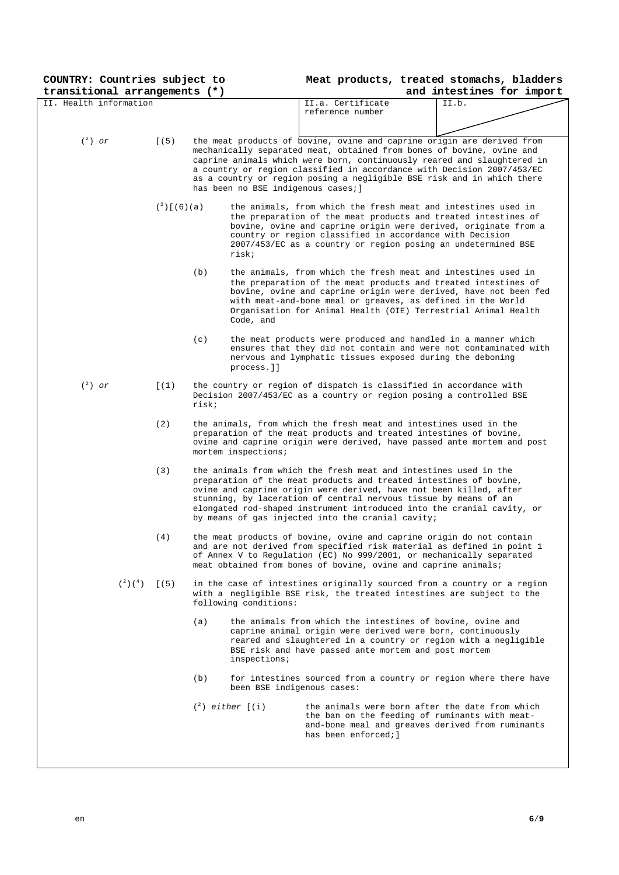| COUNTRY: Countries subject to |                      |       |                                     |                                                                                                                                                                                                                                                                                                                                       | Meat products, treated stomachs, bladders                                                                                                                                                                                                                                                                                                                                      |
|-------------------------------|----------------------|-------|-------------------------------------|---------------------------------------------------------------------------------------------------------------------------------------------------------------------------------------------------------------------------------------------------------------------------------------------------------------------------------------|--------------------------------------------------------------------------------------------------------------------------------------------------------------------------------------------------------------------------------------------------------------------------------------------------------------------------------------------------------------------------------|
| transitional arrangements (*) |                      |       |                                     |                                                                                                                                                                                                                                                                                                                                       | and intestines for import                                                                                                                                                                                                                                                                                                                                                      |
| II. Health information        |                      |       |                                     | II.a. Certificate<br>reference number                                                                                                                                                                                                                                                                                                 | II.b.                                                                                                                                                                                                                                                                                                                                                                          |
|                               |                      |       |                                     |                                                                                                                                                                                                                                                                                                                                       |                                                                                                                                                                                                                                                                                                                                                                                |
|                               |                      |       |                                     |                                                                                                                                                                                                                                                                                                                                       |                                                                                                                                                                                                                                                                                                                                                                                |
| $(^2)$ or                     | [(5)                 |       |                                     |                                                                                                                                                                                                                                                                                                                                       | the meat products of bovine, ovine and caprine origin are derived from<br>mechanically separated meat, obtained from bones of bovine, ovine and<br>caprine animals which were born, continuously reared and slaughtered in<br>a country or region classified in accordance with Decision 2007/453/EC<br>as a country or region posing a negligible BSE risk and in which there |
|                               |                      |       | has been no BSE indigenous cases; ] |                                                                                                                                                                                                                                                                                                                                       |                                                                                                                                                                                                                                                                                                                                                                                |
|                               | $({}^{2})$ [ (6) (a) |       | risk;                               | country or region classified in accordance with Decision                                                                                                                                                                                                                                                                              | the animals, from which the fresh meat and intestines used in<br>the preparation of the meat products and treated intestines of<br>bovine, ovine and caprine origin were derived, originate from a<br>2007/453/EC as a country or region posing an undetermined BSE                                                                                                            |
|                               |                      | (b)   | Code, and                           | with meat-and-bone meal or greaves, as defined in the World                                                                                                                                                                                                                                                                           | the animals, from which the fresh meat and intestines used in<br>the preparation of the meat products and treated intestines of<br>bovine, ovine and caprine origin were derived, have not been fed<br>Organisation for Animal Health (OIE) Terrestrial Animal Health                                                                                                          |
|                               |                      | (c)   | process.]]                          | nervous and lymphatic tissues exposed during the deboning                                                                                                                                                                                                                                                                             | the meat products were produced and handled in a manner which<br>ensures that they did not contain and were not contaminated with                                                                                                                                                                                                                                              |
| $(^2)$ or                     | [(1)]                | risk; |                                     | the country or region of dispatch is classified in accordance with<br>Decision 2007/453/EC as a country or region posing a controlled BSE                                                                                                                                                                                             |                                                                                                                                                                                                                                                                                                                                                                                |
|                               | (2)                  |       | mortem inspections;                 | the animals, from which the fresh meat and intestines used in the<br>preparation of the meat products and treated intestines of bovine,                                                                                                                                                                                               | ovine and caprine origin were derived, have passed ante mortem and post                                                                                                                                                                                                                                                                                                        |
|                               | (3)                  |       |                                     | the animals from which the fresh meat and intestines used in the<br>preparation of the meat products and treated intestines of bovine,<br>ovine and caprine origin were derived, have not been killed, after<br>stunning, by laceration of central nervous tissue by means of an<br>by means of gas injected into the cranial cavity; | elongated rod-shaped instrument introduced into the cranial cavity, or                                                                                                                                                                                                                                                                                                         |
|                               | (4)                  |       |                                     | meat obtained from bones of bovine, ovine and caprine animals;                                                                                                                                                                                                                                                                        | the meat products of bovine, ovine and caprine origin do not contain<br>and are not derived from specified risk material as defined in point 1<br>of Annex V to Regulation (EC) No 999/2001, or mechanically separated                                                                                                                                                         |
| $({}^{2})({}^{4})$ [(5)       |                      |       | following conditions:               |                                                                                                                                                                                                                                                                                                                                       | in the case of intestines originally sourced from a country or a region<br>with a negligible BSE risk, the treated intestines are subject to the                                                                                                                                                                                                                               |
|                               |                      | (a)   | inspections;                        | the animals from which the intestines of bovine, ovine and<br>caprine animal origin were derived were born, continuously<br>BSE risk and have passed ante mortem and post mortem                                                                                                                                                      | reared and slaughtered in a country or region with a negligible                                                                                                                                                                                                                                                                                                                |
|                               |                      | (b)   | been BSE indigenous cases:          |                                                                                                                                                                                                                                                                                                                                       | for intestines sourced from a country or region where there have                                                                                                                                                                                                                                                                                                               |
|                               |                      |       | $\binom{2}{1}$ either $\lfloor$ (i) | has been enforced; ]                                                                                                                                                                                                                                                                                                                  | the animals were born after the date from which<br>the ban on the feeding of ruminants with meat-<br>and-bone meal and greaves derived from ruminants                                                                                                                                                                                                                          |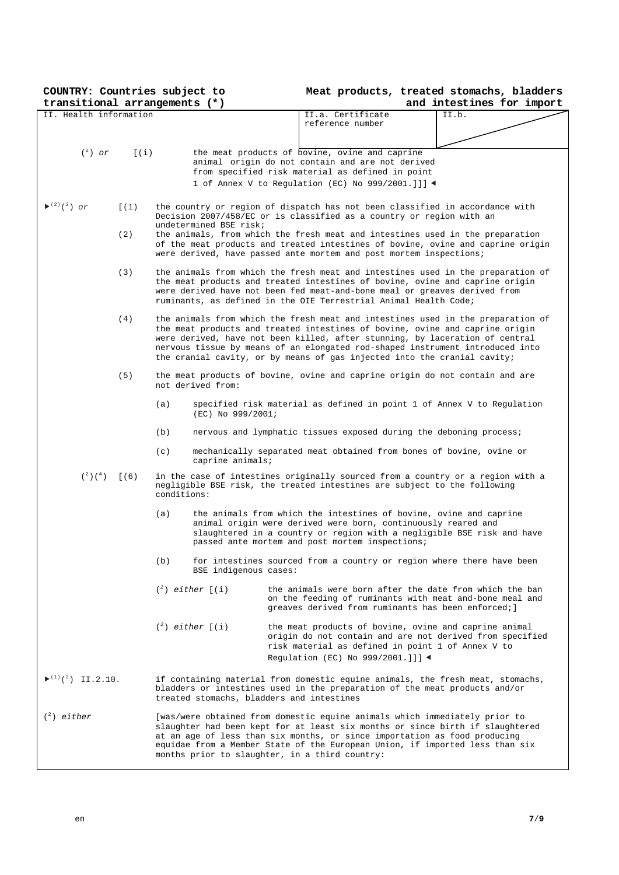**COUNTRY: Countries subject to** 

| Meat products, treated stomachs, bladders |  |
|-------------------------------------------|--|
|-------------------------------------------|--|

| transitional arrangements (*)                                  |       |             |                                           |                                                                                                                                                                  | and intestines for import |  |
|----------------------------------------------------------------|-------|-------------|-------------------------------------------|------------------------------------------------------------------------------------------------------------------------------------------------------------------|---------------------------|--|
| II. Health information                                         |       |             |                                           | II.a. Certificate                                                                                                                                                | II.b.                     |  |
|                                                                |       |             |                                           | reference number                                                                                                                                                 |                           |  |
|                                                                |       |             |                                           |                                                                                                                                                                  |                           |  |
| $(^2)$ or                                                      | [(i)] |             |                                           | the meat products of bovine, ovine and caprine                                                                                                                   |                           |  |
|                                                                |       |             |                                           | animal origin do not contain and are not derived                                                                                                                 |                           |  |
|                                                                |       |             |                                           | from specified risk material as defined in point                                                                                                                 |                           |  |
|                                                                |       |             |                                           | 1 of Annex V to Regulation (EC) No 999/2001.]]] $\blacktriangleleft$                                                                                             |                           |  |
|                                                                |       |             |                                           |                                                                                                                                                                  |                           |  |
| $\blacktriangleright$ <sup>(2)</sup> ( <sup>2</sup> ) or       | [(1)] |             |                                           | the country or region of dispatch has not been classified in accordance with                                                                                     |                           |  |
|                                                                |       |             |                                           | Decision 2007/458/EC or is classified as a country or region with an                                                                                             |                           |  |
|                                                                |       |             | undetermined BSE risk;                    |                                                                                                                                                                  |                           |  |
|                                                                | (2)   |             |                                           | the animals, from which the fresh meat and intestines used in the preparation<br>of the meat products and treated intestines of bovine, ovine and caprine origin |                           |  |
|                                                                |       |             |                                           | were derived, have passed ante mortem and post mortem inspections;                                                                                               |                           |  |
|                                                                |       |             |                                           |                                                                                                                                                                  |                           |  |
|                                                                | (3)   |             |                                           | the animals from which the fresh meat and intestines used in the preparation of                                                                                  |                           |  |
|                                                                |       |             |                                           | the meat products and treated intestines of bovine, ovine and caprine origin<br>were derived have not been fed meat-and-bone meal or greaves derived from        |                           |  |
|                                                                |       |             |                                           | ruminants, as defined in the OIE Terrestrial Animal Health Code;                                                                                                 |                           |  |
|                                                                |       |             |                                           |                                                                                                                                                                  |                           |  |
|                                                                | (4)   |             |                                           | the animals from which the fresh meat and intestines used in the preparation of                                                                                  |                           |  |
|                                                                |       |             |                                           | the meat products and treated intestines of bovine, ovine and caprine origin<br>were derived, have not been killed, after stunning, by laceration of central     |                           |  |
|                                                                |       |             |                                           | nervous tissue by means of an elongated rod-shaped instrument introduced into                                                                                    |                           |  |
|                                                                |       |             |                                           | the cranial cavity, or by means of gas injected into the cranial cavity;                                                                                         |                           |  |
|                                                                |       |             |                                           |                                                                                                                                                                  |                           |  |
|                                                                | (5)   |             | not derived from:                         | the meat products of bovine, ovine and caprine origin do not contain and are                                                                                     |                           |  |
|                                                                |       |             |                                           |                                                                                                                                                                  |                           |  |
|                                                                |       | (a)         |                                           | specified risk material as defined in point 1 of Annex V to Regulation                                                                                           |                           |  |
|                                                                |       |             | (EC) No 999/2001;                         |                                                                                                                                                                  |                           |  |
|                                                                |       | (b)         |                                           | nervous and lymphatic tissues exposed during the deboning process;                                                                                               |                           |  |
|                                                                |       |             |                                           |                                                                                                                                                                  |                           |  |
|                                                                |       | (c)         |                                           | mechanically separated meat obtained from bones of bovine, ovine or                                                                                              |                           |  |
|                                                                |       |             | caprine animals;                          |                                                                                                                                                                  |                           |  |
| $({}^{2})({}^{4})$ [(6)                                        |       |             |                                           | in the case of intestines originally sourced from a country or a region with a                                                                                   |                           |  |
|                                                                |       | conditions: |                                           | negligible BSE risk, the treated intestines are subject to the following                                                                                         |                           |  |
|                                                                |       |             |                                           |                                                                                                                                                                  |                           |  |
|                                                                |       | (a)         |                                           | the animals from which the intestines of bovine, ovine and caprine                                                                                               |                           |  |
|                                                                |       |             |                                           | animal origin were derived were born, continuously reared and                                                                                                    |                           |  |
|                                                                |       |             |                                           | slaughtered in a country or region with a negligible BSE risk and have<br>passed ante mortem and post mortem inspections;                                        |                           |  |
|                                                                |       |             |                                           |                                                                                                                                                                  |                           |  |
|                                                                |       | (b)         |                                           | for intestines sourced from a country or region where there have been                                                                                            |                           |  |
|                                                                |       |             | BSE indigenous cases:                     |                                                                                                                                                                  |                           |  |
|                                                                |       |             | $\binom{2}{7}$ either $\lceil$ (i)        | the animals were born after the date from which the ban                                                                                                          |                           |  |
|                                                                |       |             |                                           | on the feeding of ruminants with meat and-bone meal and                                                                                                          |                           |  |
|                                                                |       |             |                                           | greaves derived from ruminants has been enforced; ]                                                                                                              |                           |  |
|                                                                |       |             |                                           |                                                                                                                                                                  |                           |  |
|                                                                |       |             | $\binom{2}{7}$ either $\lfloor$ (i)       | the meat products of bovine, ovine and caprine animal<br>origin do not contain and are not derived from specified                                                |                           |  |
|                                                                |       |             |                                           | risk material as defined in point 1 of Annex V to                                                                                                                |                           |  |
|                                                                |       |             |                                           | Regulation (EC) No 999/2001.]]] ◀                                                                                                                                |                           |  |
|                                                                |       |             |                                           |                                                                                                                                                                  |                           |  |
| $\blacktriangleright$ <sup>(1)</sup> ( <sup>2</sup> ) II.2.10. |       |             |                                           | if containing material from domestic equine animals, the fresh meat, stomachs,                                                                                   |                           |  |
|                                                                |       |             |                                           | bladders or intestines used in the preparation of the meat products and/or                                                                                       |                           |  |
|                                                                |       |             | treated stomachs, bladders and intestines |                                                                                                                                                                  |                           |  |
| $\binom{2}{1}$ either                                          |       |             |                                           | [was/were obtained from domestic equine animals which immediately prior to                                                                                       |                           |  |
|                                                                |       |             |                                           | slaughter had been kept for at least six months or since birth if slaughtered                                                                                    |                           |  |
|                                                                |       |             |                                           | at an age of less than six months, or since importation as food producing                                                                                        |                           |  |
|                                                                |       |             |                                           | equidae from a Member State of the European Union, if imported less than six<br>months prior to slaughter, in a third country:                                   |                           |  |
|                                                                |       |             |                                           |                                                                                                                                                                  |                           |  |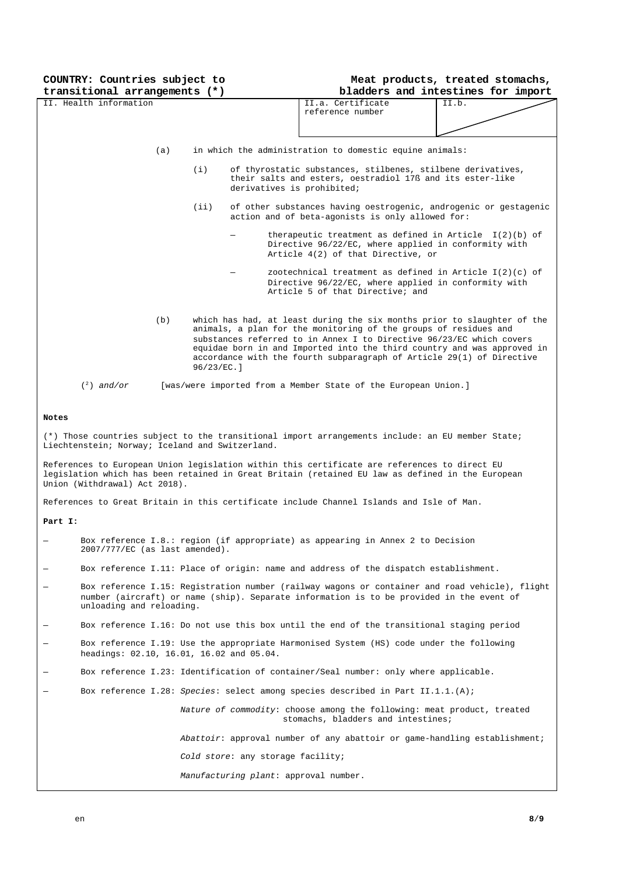| COUNTRY: Countries subject to<br>transitional arrangements (*)                                                                                                                                                                                                                                                                                                                                  |       |                                                                                                                                                        | Meat products, treated stomachs,<br>bladders and intestines for import |  |  |
|-------------------------------------------------------------------------------------------------------------------------------------------------------------------------------------------------------------------------------------------------------------------------------------------------------------------------------------------------------------------------------------------------|-------|--------------------------------------------------------------------------------------------------------------------------------------------------------|------------------------------------------------------------------------|--|--|
| II. Health information                                                                                                                                                                                                                                                                                                                                                                          |       | II.a. Certificate<br>reference number                                                                                                                  | II.b.                                                                  |  |  |
|                                                                                                                                                                                                                                                                                                                                                                                                 |       |                                                                                                                                                        |                                                                        |  |  |
| (a)                                                                                                                                                                                                                                                                                                                                                                                             |       | in which the administration to domestic equine animals:                                                                                                |                                                                        |  |  |
|                                                                                                                                                                                                                                                                                                                                                                                                 | (i)   | of thyrostatic substances, stilbenes, stilbene derivatives,<br>their salts and esters, oestradiol 17ß and its ester-like<br>derivatives is prohibited; |                                                                        |  |  |
|                                                                                                                                                                                                                                                                                                                                                                                                 | (iii) | of other substances having oestrogenic, androgenic or gestagenic<br>action and of beta-agonists is only allowed for:                                   |                                                                        |  |  |
|                                                                                                                                                                                                                                                                                                                                                                                                 |       | therapeutic treatment as defined in Article $I(2)(b)$ of<br>Directive 96/22/EC, where applied in conformity with<br>Article 4(2) of that Directive, or |                                                                        |  |  |
|                                                                                                                                                                                                                                                                                                                                                                                                 |       | zootechnical treatment as defined in Article $I(2)(c)$ of<br>Directive 96/22/EC, where applied in conformity with<br>Article 5 of that Directive; and  |                                                                        |  |  |
| (b)<br>which has had, at least during the six months prior to slaughter of the<br>animals, a plan for the monitoring of the groups of residues and<br>substances referred to in Annex I to Directive 96/23/EC which covers<br>equidae born in and Imported into the third country and was approved in<br>accordance with the fourth subparagraph of Article 29(1) of Directive<br>$96/23/EC.$ ] |       |                                                                                                                                                        |                                                                        |  |  |
| $\binom{2}{1}$ and/or                                                                                                                                                                                                                                                                                                                                                                           |       | [was/were imported from a Member State of the European Union.]                                                                                         |                                                                        |  |  |
| Notes                                                                                                                                                                                                                                                                                                                                                                                           |       |                                                                                                                                                        |                                                                        |  |  |
| (*) Those countries subject to the transitional import arrangements include: an EU member State;<br>Liechtenstein; Norway; Iceland and Switzerland.                                                                                                                                                                                                                                             |       |                                                                                                                                                        |                                                                        |  |  |
| References to European Union legislation within this certificate are references to direct EU<br>legislation which has been retained in Great Britain (retained EU law as defined in the European<br>Union (Withdrawal) Act 2018).                                                                                                                                                               |       |                                                                                                                                                        |                                                                        |  |  |
| References to Great Britain in this certificate include Channel Islands and Isle of Man.                                                                                                                                                                                                                                                                                                        |       |                                                                                                                                                        |                                                                        |  |  |

#### **Part I:**

| $\overline{\phantom{a}}$ | Box reference I.8.: region (if appropriate) as appearing in Annex 2 to Decision |  |
|--------------------------|---------------------------------------------------------------------------------|--|
|                          | $2007/777/EC$ (as last amended).                                                |  |
|                          |                                                                                 |  |

- Box reference I.11: Place of origin: name and address of the dispatch establishment.
- Box reference I.15: Registration number (railway wagons or container and road vehicle), flight number (aircraft) or name (ship). Separate information is to be provided in the event of unloading and reloading.
- Box reference I.16: Do not use this box until the end of the transitional staging period
- Box reference I.19: Use the appropriate Harmonised System (HS) code under the following headings: 02.10, 16.01, 16.02 and 05.04.
- Box reference I.23: Identification of container/Seal number: only where applicable.
- Box reference I.28: *Species*: select among species described in Part II.1.1.(A);

 *Nature of commodity*: choose among the following: meat product, treated stomachs, bladders and intestines;

*Abattoir*: approval number of any abattoir or game-handling establishment;

*Cold store*: any storage facility;

*Manufacturing plant*: approval number.